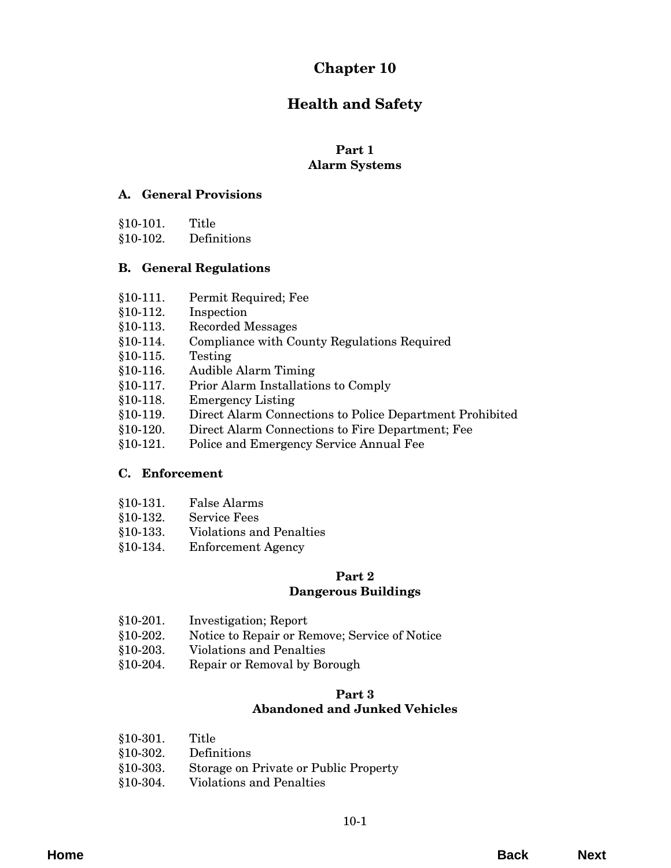# **Chapter 10**

# **Health and Safety**

# **Part 1**

# **Alarm Systems**

# **[A. General Provisions](#page-2-0)**

| $$10-101.$ | Title       |
|------------|-------------|
| $$10-102.$ | Definitions |

# **B. General Regulations**

- §10-111. Permit Required; Fee
- §10-112. Inspection
- §10-113. Recorded Messages
- [§10-114. Compliance with County Regulations Required](#page-4-0)
- §10-115. Testing
- §10-116. Audible Alarm Timing
- §10-117. Prior Alarm Installations to Comply
- §10-118. Emergency Listing
- [§10-119. Direct Alarm Connections to Police Department Prohibited](#page-5-0)
- §10-120. Direct Alarm Connections to Fire Department; Fee
- §10-121. Police and Emergency Service Annual Fee

# **C. Enforcement**

- §10-131. False Alarms
- §10-132. Service Fees
- [§10-133. Violations and Penalties](#page-8-0)
- [§10-134. Enforcement Agency](#page-9-0)

# **Part 2**

# **Dangerous Buildings**

- §10-201. Investigation; Report
- [§10-202. Notice to Repair or Remove; Service of Notice](#page-10-0)
- §10-203. Violations and Penalties
- §10-204. Repair or Removal by Borough

# **Part 3**

# **Abandoned and Junked Vehicles**

§10-301. Title §10-302. Definitions [§10-303. Storage on Private or Public Property](#page-12-0) §10-304. Violations and Penalties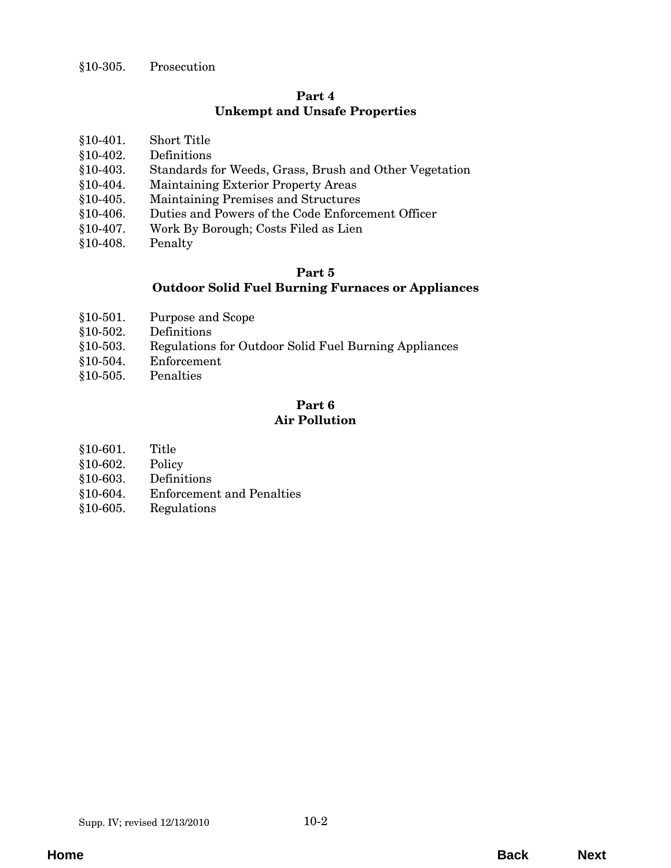# **Part 4 [Unkempt and Unsafe Properties](#page-14-0)**

- §10-402. Definitions
- [§10-403. Standards for Weeds, Grass, Brush and Other Vegetation](#page-15-0)
- §10-404. Maintaining Exterior Property Areas
- §10-405. Maintaining Premises and Structures
- [§10-406. Duties and Powers of the Code Enforcement Officer](#page-16-0)
- §10-407. Work By Borough; Costs Filed as Lien
- [§10-408. Penalty](#page-17-0)

# **Part 5 Outdoor Solid Fuel Burning Furnaces or Appliances**

- §10-501. Purpose and Scope
- §10-502. Definitions
- [§10-503. Regulations for Outdoor Solid Fuel Burning Appliances](#page-18-0)
- [§10-504. Enforcement](#page-19-0)
- [§10-505. Penalties](#page-20-0)

# **Part 6 Air Pollution**

- §10-601. Title
- §10-602. Policy
- [§10-603. Definitions](#page-22-0)
- [§10-604. Enforcement and Penalties](#page-23-0)
- §10-605. Regulations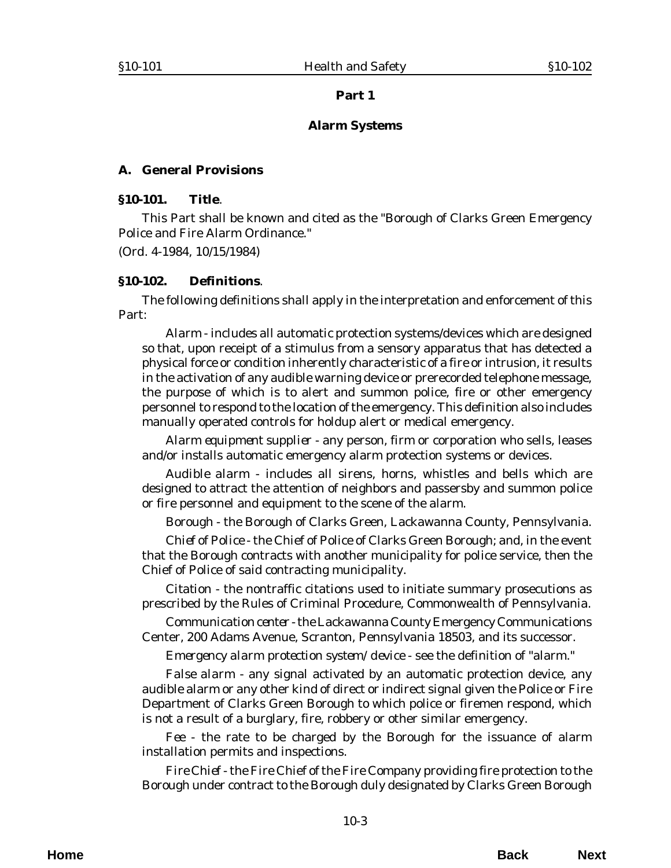#### **Alarm Systems**

#### <span id="page-2-0"></span>**A. General Provisions**

#### **§10-101. Title**.

This Part shall be known and cited as the "Borough of Clarks Green Emergency Police and Fire Alarm Ordinance."

(*Ord. 4-1984*, 10/15/1984)

#### **§10-102. Definitions**.

The following definitions shall apply in the interpretation and enforcement of this Part:

*Alarm* - includes all automatic protection systems/devices which are designed so that, upon receipt of a stimulus from a sensory apparatus that has detected a physical force or condition inherently characteristic of a fire or intrusion, it results in the activation of any audible warning device or prerecorded telephone message, the purpose of which is to alert and summon police, fire or other emergency personnel to respond to the location of the emergency. This definition also includes manually operated controls for holdup alert or medical emergency.

*Alarm equipment supplier* - any person, firm or corporation who sells, leases and/or installs automatic emergency alarm protection systems or devices.

*Audible alarm* - includes all sirens, horns, whistles and bells which are designed to attract the attention of neighbors and passersby and summon police or fire personnel and equipment to the scene of the alarm.

*Borough* - the Borough of Clarks Green, Lackawanna County, Pennsylvania.

*Chief of Police* - the Chief of Police of Clarks Green Borough; and, in the event that the Borough contracts with another municipality for police service, then the Chief of Police of said contracting municipality.

*Citation* - the nontraffic citations used to initiate summary prosecutions as prescribed by the Rules of Criminal Procedure, Commonwealth of Pennsylvania.

*Communication center* - the Lackawanna County Emergency Communications Center, 200 Adams Avenue, Scranton, Pennsylvania 18503, and its successor.

*Emergency alarm protection system/device* - see the definition of "alarm."

*False alarm* - any signal activated by an automatic protection device, any audible alarm or any other kind of direct or indirect signal given the Police or Fire Department of Clarks Green Borough to which police or firemen respond, which is not a result of a burglary, fire, robbery or other similar emergency.

*Fee* - the rate to be charged by the Borough for the issuance of alarm installation permits and inspections.

*Fire Chief* - the Fire Chief of the Fire Company providing fire protection to the Borough under contract to the Borough duly designated by Clarks Green Borough

**Home Back Next**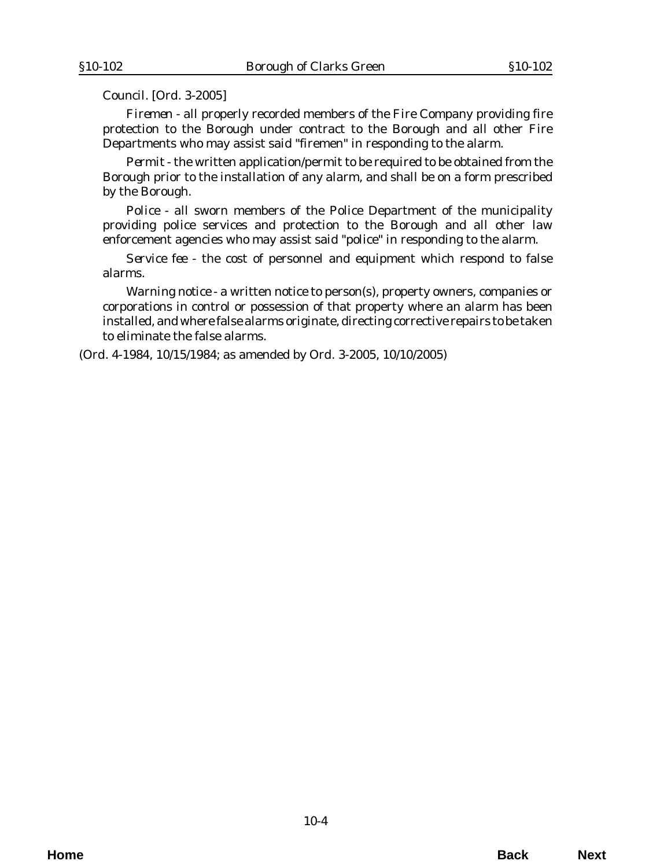Council. [*Ord. 3-2005*]

*Firemen* - all properly recorded members of the Fire Company providing fire protection to the Borough under contract to the Borough and all other Fire Departments who may assist said "firemen" in responding to the alarm.

*Permit* - the written application/permit to be required to be obtained from the Borough prior to the installation of any alarm, and shall be on a form prescribed by the Borough.

*Police* - all sworn members of the Police Department of the municipality providing police services and protection to the Borough and all other law enforcement agencies who may assist said "police" in responding to the alarm.

*Service fee* - the cost of personnel and equipment which respond to false alarms.

*Warning notice* - a written notice to person(s), property owners, companies or corporations in control or possession of that property where an alarm has been installed, and where false alarms originate, directing corrective repairs to be taken to eliminate the false alarms.

(*Ord. 4-1984*, 10/15/1984; as amended by *Ord. 3-2005*, 10/10/2005)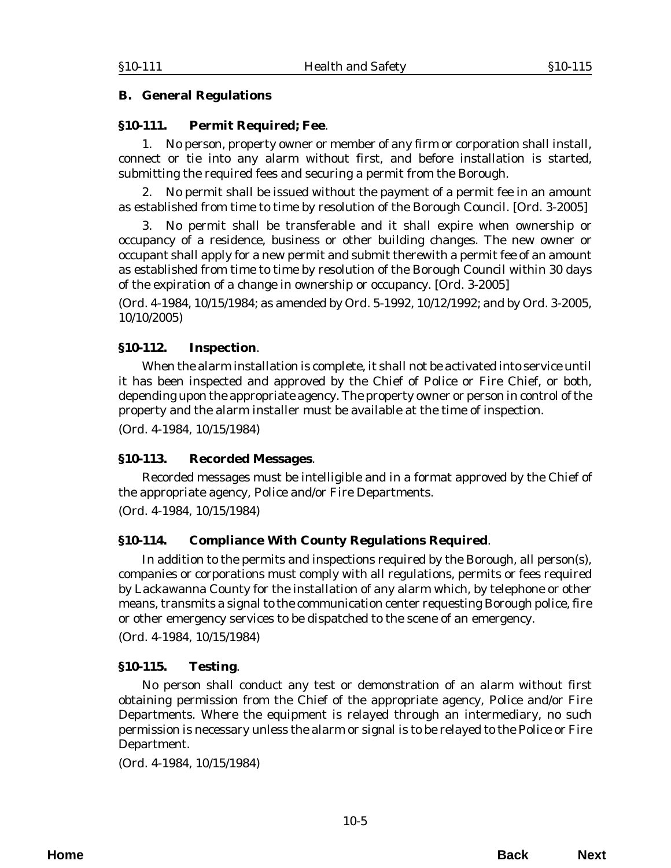# <span id="page-4-0"></span>**B. General Regulations**

## **§10-111. Permit Required; Fee**.

1. No person, property owner or member of any firm or corporation shall install, connect or tie into any alarm without first, and before installation is started, submitting the required fees and securing a permit from the Borough.

2. No permit shall be issued without the payment of a permit fee in an amount as established from time to time by resolution of the Borough Council. [*Ord. 3-2005*]

3. No permit shall be transferable and it shall expire when ownership or occupancy of a residence, business or other building changes. The new owner or occupant shall apply for a new permit and submit therewith a permit fee of an amount as established from time to time by resolution of the Borough Council within 30 days of the expiration of a change in ownership or occupancy. [*Ord. 3-2005*]

(*Ord. 4-1984*, 10/15/1984; as amended by *Ord. 5-1992*, 10/12/1992; and by *Ord. 3-2005*, 10/10/2005)

## **§10-112. Inspection**.

When the alarm installation is complete, it shall not be activated into service until it has been inspected and approved by the Chief of Police or Fire Chief, or both, depending upon the appropriate agency. The property owner or person in control of the property and the alarm installer must be available at the time of inspection.

(*Ord. 4-1984*, 10/15/1984)

#### **§10-113. Recorded Messages**.

Recorded messages must be intelligible and in a format approved by the Chief of the appropriate agency, Police and/or Fire Departments.

(*Ord. 4-1984*, 10/15/1984)

# **§10-114. Compliance With County Regulations Required**.

In addition to the permits and inspections required by the Borough, all person(s), companies or corporations must comply with all regulations, permits or fees required by Lackawanna County for the installation of any alarm which, by telephone or other means, transmits a signal to the communication center requesting Borough police, fire or other emergency services to be dispatched to the scene of an emergency.

(*Ord. 4-1984*, 10/15/1984)

# **§10-115. Testing**.

No person shall conduct any test or demonstration of an alarm without first obtaining permission from the Chief of the appropriate agency, Police and/or Fire Departments. Where the equipment is relayed through an intermediary, no such permission is necessary unless the alarm or signal is to be relayed to the Police or Fire Department.

(*Ord. 4-1984*, 10/15/1984)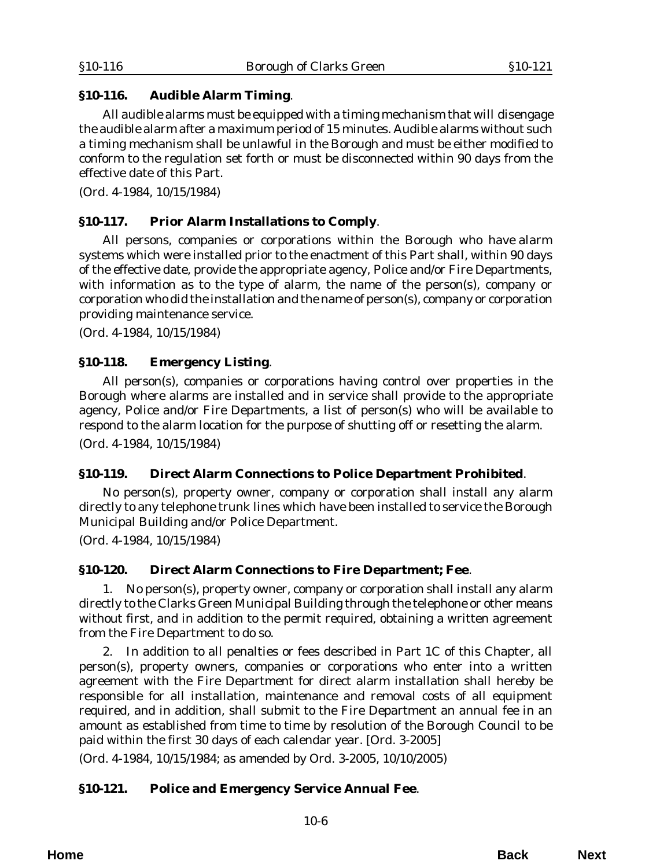# <span id="page-5-0"></span>**§10-116. Audible Alarm Timing**.

 All audible alarms must be equipped with a timing mechanism that will disengage the audible alarm after a maximum period of 15 minutes. Audible alarms without such a timing mechanism shall be unlawful in the Borough and must be either modified to conform to the regulation set forth or must be disconnected within 90 days from the effective date of this Part.

(*Ord. 4-1984*, 10/15/1984)

# **§10-117. Prior Alarm Installations to Comply**.

 All persons, companies or corporations within the Borough who have alarm systems which were installed prior to the enactment of this Part shall, within 90 days of the effective date, provide the appropriate agency, Police and/or Fire Departments, with information as to the type of alarm, the name of the person(s), company or corporation who did the installation and the name of person(s), company or corporation providing maintenance service.

(*Ord. 4-1984*, 10/15/1984)

# **§10-118. Emergency Listing**.

All person(s), companies or corporations having control over properties in the Borough where alarms are installed and in service shall provide to the appropriate agency, Police and/or Fire Departments, a list of person(s) who will be available to respond to the alarm location for the purpose of shutting off or resetting the alarm. (*Ord. 4-1984*, 10/15/1984)

# **§10-119. Direct Alarm Connections to Police Department Prohibited**.

No person(s), property owner, company or corporation shall install any alarm directly to any telephone trunk lines which have been installed to service the Borough Municipal Building and/or Police Department.

(*Ord. 4-1984*, 10/15/1984)

# **§10-120. Direct Alarm Connections to Fire Department; Fee**.

1. No person(s), property owner, company or corporation shall install any alarm directly to the Clarks Green Municipal Building through the telephone or other means without first, and in addition to the permit required, obtaining a written agreement from the Fire Department to do so.

2. In addition to all penalties or fees described in Part 1C of this Chapter, all person(s), property owners, companies or corporations who enter into a written agreement with the Fire Department for direct alarm installation shall hereby be responsible for all installation, maintenance and removal costs of all equipment required, and in addition, shall submit to the Fire Department an annual fee in an amount as established from time to time by resolution of the Borough Council to be paid within the first 30 days of each calendar year. [*Ord. 3-2005*]

(*Ord. 4-1984*, 10/15/1984; as amended by *Ord. 3-2005*, 10/10/2005)

# **§10-121. Police and Emergency Service Annual Fee**.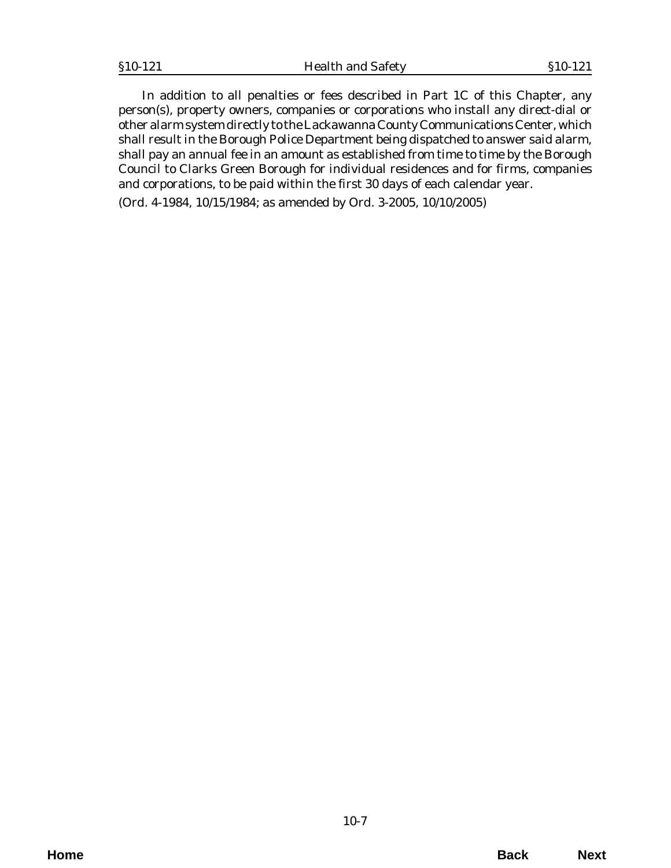In addition to all penalties or fees described in Part 1C of this Chapter, any person(s), property owners, companies or corporations who install any direct-dial or other alarm system directly to the Lackawanna County Communications Center, which shall result in the Borough Police Department being dispatched to answer said alarm, shall pay an annual fee in an amount as established from time to time by the Borough Council to Clarks Green Borough for individual residences and for firms, companies and corporations, to be paid within the first 30 days of each calendar year.

(*Ord. 4-1984*, 10/15/1984; as amended by *Ord. 3-2005*, 10/10/2005)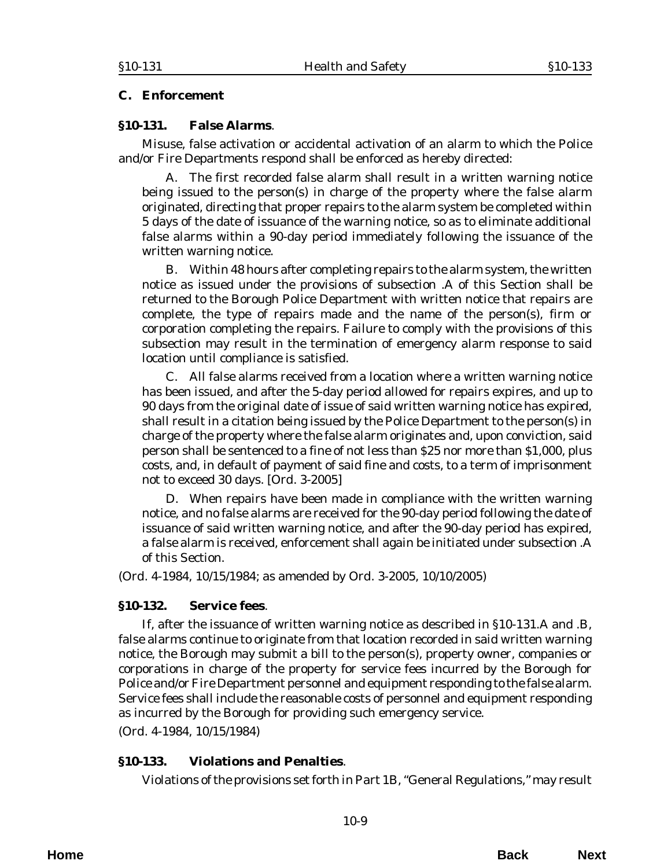## <span id="page-8-0"></span>**C. Enforcement**

## **§10-131. False Alarms**.

Misuse, false activation or accidental activation of an alarm to which the Police and/or Fire Departments respond shall be enforced as hereby directed:

A. The first recorded false alarm shall result in a written warning notice being issued to the person(s) in charge of the property where the false alarm originated, directing that proper repairs to the alarm system be completed within 5 days of the date of issuance of the warning notice, so as to eliminate additional false alarms within a 90-day period immediately following the issuance of the written warning notice.

B. Within 48 hours after completing repairs to the alarm system, the written notice as issued under the provisions of subsection .A of this Section shall be returned to the Borough Police Department with written notice that repairs are complete, the type of repairs made and the name of the person(s), firm or corporation completing the repairs. Failure to comply with the provisions of this subsection may result in the termination of emergency alarm response to said location until compliance is satisfied.

C. All false alarms received from a location where a written warning notice has been issued, and after the 5-day period allowed for repairs expires, and up to 90 days from the original date of issue of said written warning notice has expired, shall result in a citation being issued by the Police Department to the person(s) in charge of the property where the false alarm originates and, upon conviction, said person shall be sentenced to a fine of not less than \$25 nor more than \$1,000, plus costs, and, in default of payment of said fine and costs, to a term of imprisonment not to exceed 30 days. [*Ord. 3-2005*]

D. When repairs have been made in compliance with the written warning notice, and no false alarms are received for the 90-day period following the date of issuance of said written warning notice, and after the 90-day period has expired, a false alarm is received, enforcement shall again be initiated under subsection .A of this Section.

(*Ord. 4-1984*, 10/15/1984; as amended by *Ord. 3-2005*, 10/10/2005)

# **§10-132. Service fees**.

If, after the issuance of written warning notice as described in §10-131.A and .B, false alarms continue to originate from that location recorded in said written warning notice, the Borough may submit a bill to the person(s), property owner, companies or corporations in charge of the property for service fees incurred by the Borough for Police and/or Fire Department personnel and equipment responding to the false alarm. Service fees shall include the reasonable costs of personnel and equipment responding as incurred by the Borough for providing such emergency service.

(*Ord. 4-1984*, 10/15/1984)

# **§10-133. Violations and Penalties**.

Violations of the provisions set forth in Part 1B, "General Regulations," may result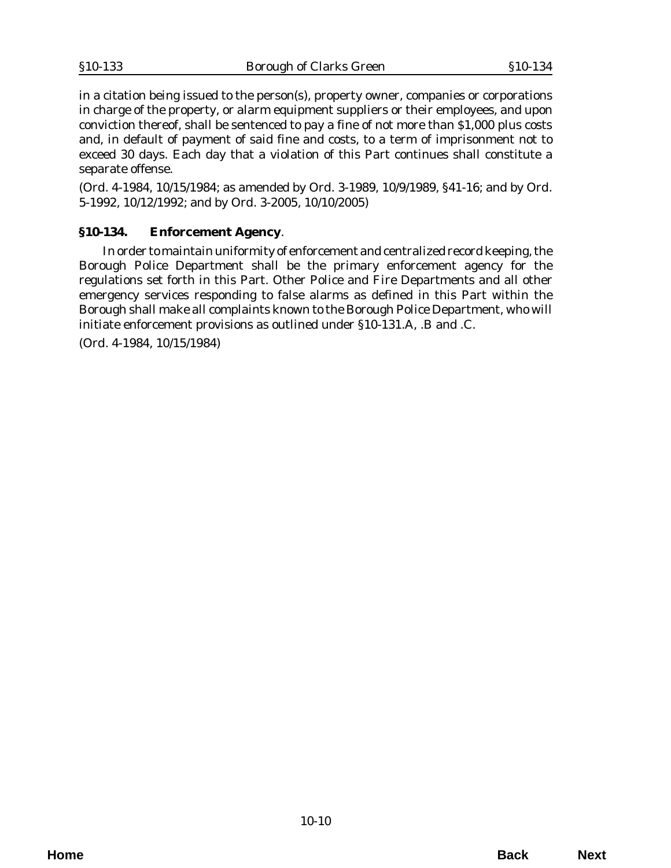<span id="page-9-0"></span>in a citation being issued to the person(s), property owner, companies or corporations in charge of the property, or alarm equipment suppliers or their employees, and upon conviction thereof, shall be sentenced to pay a fine of not more than \$1,000 plus costs and, in default of payment of said fine and costs, to a term of imprisonment not to exceed 30 days. Each day that a violation of this Part continues shall constitute a separate offense.

(*Ord. 4-1984*, 10/15/1984; as amended by *Ord. 3-1989*, 10/9/1989, §41-16; and by *Ord. 5-1992*, 10/12/1992; and by *Ord. 3-2005*, 10/10/2005)

# **§10-134. Enforcement Agency**.

In order to maintain uniformity of enforcement and centralized record keeping, the Borough Police Department shall be the primary enforcement agency for the regulations set forth in this Part. Other Police and Fire Departments and all other emergency services responding to false alarms as defined in this Part within the Borough shall make all complaints known to the Borough Police Department, who will initiate enforcement provisions as outlined under §10-131.A, .B and .C.

(*Ord. 4-1984*, 10/15/1984)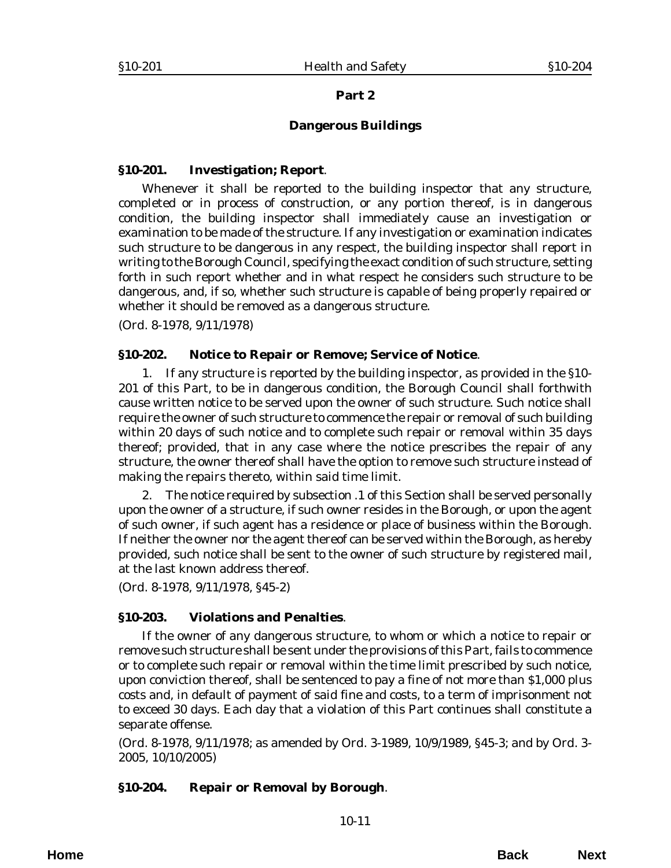#### **Dangerous Buildings**

#### <span id="page-10-0"></span>**§10-201. Investigation; Report**.

Whenever it shall be reported to the building inspector that any structure, completed or in process of construction, or any portion thereof, is in dangerous condition, the building inspector shall immediately cause an investigation or examination to be made of the structure. If any investigation or examination indicates such structure to be dangerous in any respect, the building inspector shall report in writing to the Borough Council, specifying the exact condition of such structure, setting forth in such report whether and in what respect he considers such structure to be dangerous, and, if so, whether such structure is capable of being properly repaired or whether it should be removed as a dangerous structure.

(*Ord. 8-1978*, 9/11/1978)

## **§10-202. Notice to Repair or Remove; Service of Notice**.

1. If any structure is reported by the building inspector, as provided in the §10- 201 of this Part, to be in dangerous condition, the Borough Council shall forthwith cause written notice to be served upon the owner of such structure. Such notice shall require the owner of such structure to commence the repair or removal of such building within 20 days of such notice and to complete such repair or removal within 35 days thereof; provided, that in any case where the notice prescribes the repair of any structure, the owner thereof shall have the option to remove such structure instead of making the repairs thereto, within said time limit.

2. The notice required by subsection .1 of this Section shall be served personally upon the owner of a structure, if such owner resides in the Borough, or upon the agent of such owner, if such agent has a residence or place of business within the Borough. If neither the owner nor the agent thereof can be served within the Borough, as hereby provided, such notice shall be sent to the owner of such structure by registered mail, at the last known address thereof.

(*Ord. 8-1978*, 9/11/1978, §45-2)

# **§10-203. Violations and Penalties**.

If the owner of any dangerous structure, to whom or which a notice to repair or remove such structure shall be sent under the provisions of this Part, fails to commence or to complete such repair or removal within the time limit prescribed by such notice, upon conviction thereof, shall be sentenced to pay a fine of not more than \$1,000 plus costs and, in default of payment of said fine and costs, to a term of imprisonment not to exceed 30 days. Each day that a violation of this Part continues shall constitute a separate offense.

(*Ord. 8-1978*, 9/11/1978; as amended by *Ord. 3-1989*, 10/9/1989, §45-3; and by *Ord. 3- 2005*, 10/10/2005)

# **§10-204. Repair or Removal by Borough**.

**Home Back Next**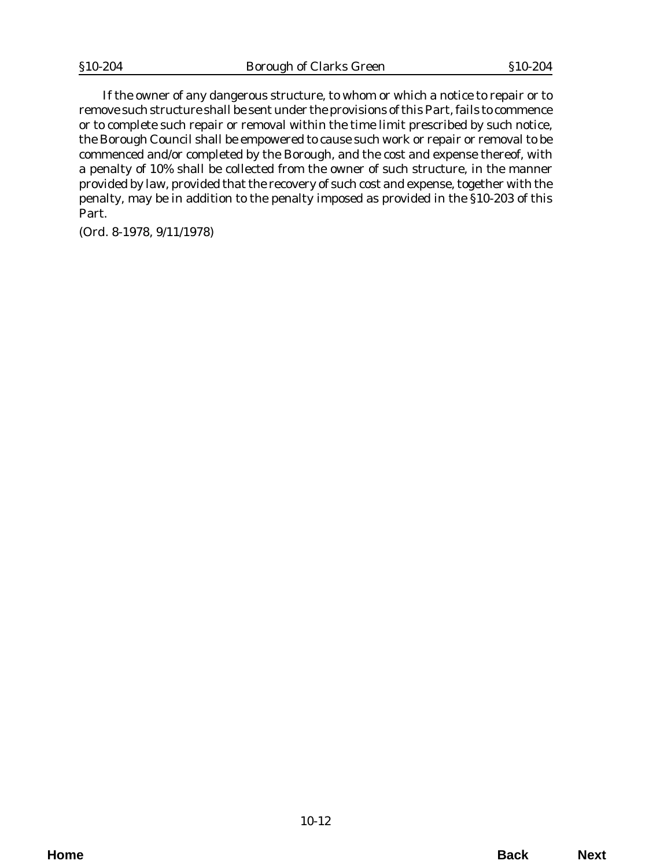If the owner of any dangerous structure, to whom or which a notice to repair or to remove such structure shall be sent under the provisions of this Part, fails to commence or to complete such repair or removal within the time limit prescribed by such notice, the Borough Council shall be empowered to cause such work or repair or removal to be commenced and/or completed by the Borough, and the cost and expense thereof, with a penalty of 10% shall be collected from the owner of such structure, in the manner provided by law, provided that the recovery of such cost and expense, together with the penalty, may be in addition to the penalty imposed as provided in the §10-203 of this Part.

(*Ord. 8-1978*, 9/11/1978)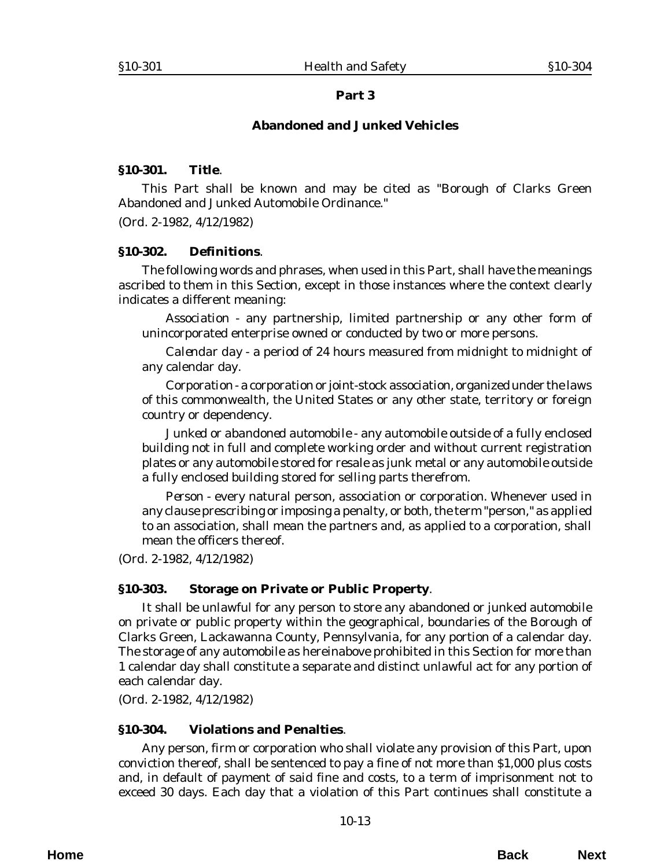## **Abandoned and Junked Vehicles**

#### <span id="page-12-0"></span>**§10-301. Title**.

This Part shall be known and may be cited as "Borough of Clarks Green Abandoned and Junked Automobile Ordinance."

(*Ord. 2-1982*, 4/12/1982)

#### **§10-302. Definitions**.

The following words and phrases, when used in this Part, shall have the meanings ascribed to them in this Section, except in those instances where the context clearly indicates a different meaning:

*Association* - any partnership, limited partnership or any other form of unincorporated enterprise owned or conducted by two or more persons.

*Calendar day* - a period of 24 hours measured from midnight to midnight of any calendar day.

*Corporation* - a corporation or joint-stock association, organized under the laws of this commonwealth, the United States or any other state, territory or foreign country or dependency.

*Junked or abandoned automobile* - any automobile outside of a fully enclosed building not in full and complete working order and without current registration plates or any automobile stored for resale as junk metal or any automobile outside a fully enclosed building stored for selling parts therefrom.

*Person* - every natural person, association or corporation. Whenever used in any clause prescribing or imposing a penalty, or both, the term "person," as applied to an association, shall mean the partners and, as applied to a corporation, shall mean the officers thereof.

(*Ord. 2-1982*, 4/12/1982)

#### **§10-303. Storage on Private or Public Property**.

It shall be unlawful for any person to store any abandoned or junked automobile on private or public property within the geographical, boundaries of the Borough of Clarks Green, Lackawanna County, Pennsylvania, for any portion of a calendar day. The storage of any automobile as hereinabove prohibited in this Section for more than 1 calendar day shall constitute a separate and distinct unlawful act for any portion of each calendar day.

(*Ord. 2-1982*, 4/12/1982)

#### **§10-304. Violations and Penalties**.

Any person, firm or corporation who shall violate any provision of this Part, upon conviction thereof, shall be sentenced to pay a fine of not more than \$1,000 plus costs and, in default of payment of said fine and costs, to a term of imprisonment not to exceed 30 days. Each day that a violation of this Part continues shall constitute a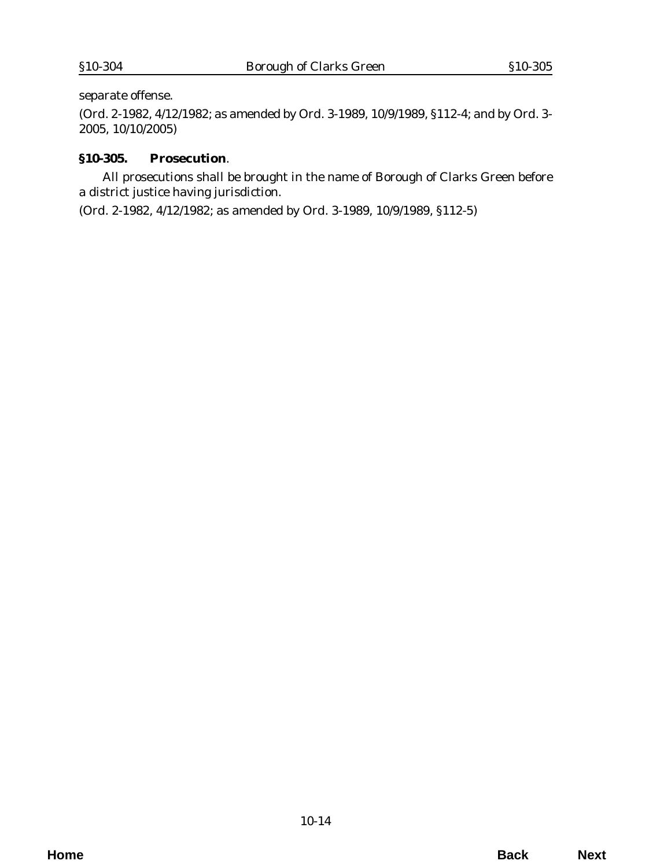<span id="page-13-0"></span>separate offense.

(*Ord. 2-1982*, 4/12/1982; as amended by *Ord. 3-1989*, 10/9/1989, §112-4; and by *Ord. 3- 2005*, 10/10/2005)

## **§10-305. Prosecution**.

All prosecutions shall be brought in the name of Borough of Clarks Green before a district justice having jurisdiction.

(*Ord. 2-1982*, 4/12/1982; as amended by *Ord. 3-1989*, 10/9/1989, §112-5)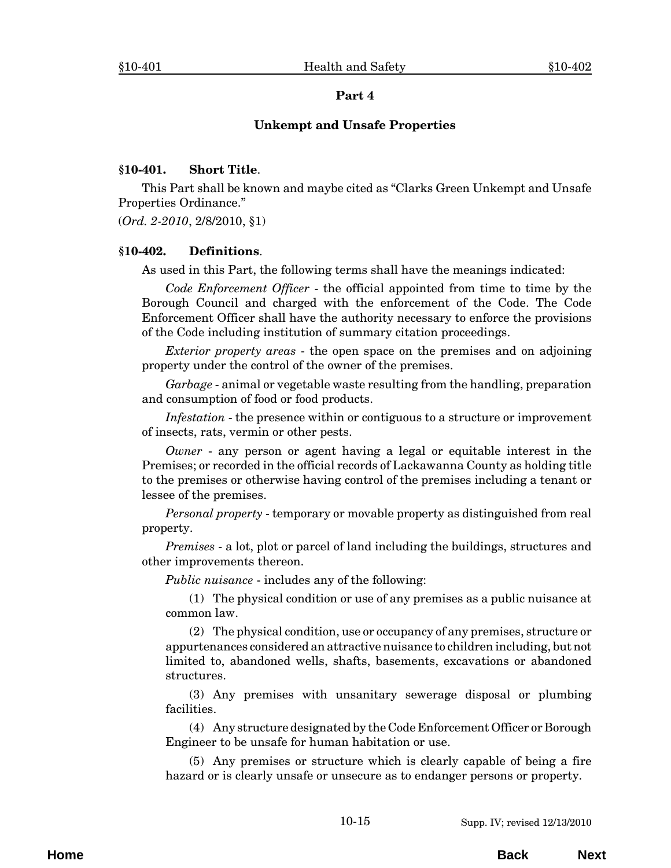#### **Unkempt and Unsafe Properties**

#### <span id="page-14-0"></span>**§10-401. Short Title**.

This Part shall be known and maybe cited as "Clarks Green Unkempt and Unsafe Properties Ordinance."

(*Ord. 2-2010*, 2/8/2010, §1)

#### **§10-402. Definitions**.

As used in this Part, the following terms shall have the meanings indicated:

*Code Enforcement Officer* - the official appointed from time to time by the Borough Council and charged with the enforcement of the Code. The Code Enforcement Officer shall have the authority necessary to enforce the provisions of the Code including institution of summary citation proceedings.

*Exterior property areas* - the open space on the premises and on adjoining property under the control of the owner of the premises.

*Garbage* - animal or vegetable waste resulting from the handling, preparation and consumption of food or food products.

*Infestation* - the presence within or contiguous to a structure or improvement of insects, rats, vermin or other pests.

*Owner* - any person or agent having a legal or equitable interest in the Premises; or recorded in the official records of Lackawanna County as holding title to the premises or otherwise having control of the premises including a tenant or lessee of the premises.

*Personal property* - temporary or movable property as distinguished from real property.

*Premises* - a lot, plot or parcel of land including the buildings, structures and other improvements thereon.

*Public nuisance* - includes any of the following:

(1) The physical condition or use of any premises as a public nuisance at common law.

(2) The physical condition, use or occupancy of any premises, structure or appurtenances considered an attractive nuisance to children including, but not limited to, abandoned wells, shafts, basements, excavations or abandoned structures.

(3) Any premises with unsanitary sewerage disposal or plumbing facilities.

(4) Any structure designated by the Code Enforcement Officer or Borough Engineer to be unsafe for human habitation or use.

(5) Any premises or structure which is clearly capable of being a fire hazard or is clearly unsafe or unsecure as to endanger persons or property.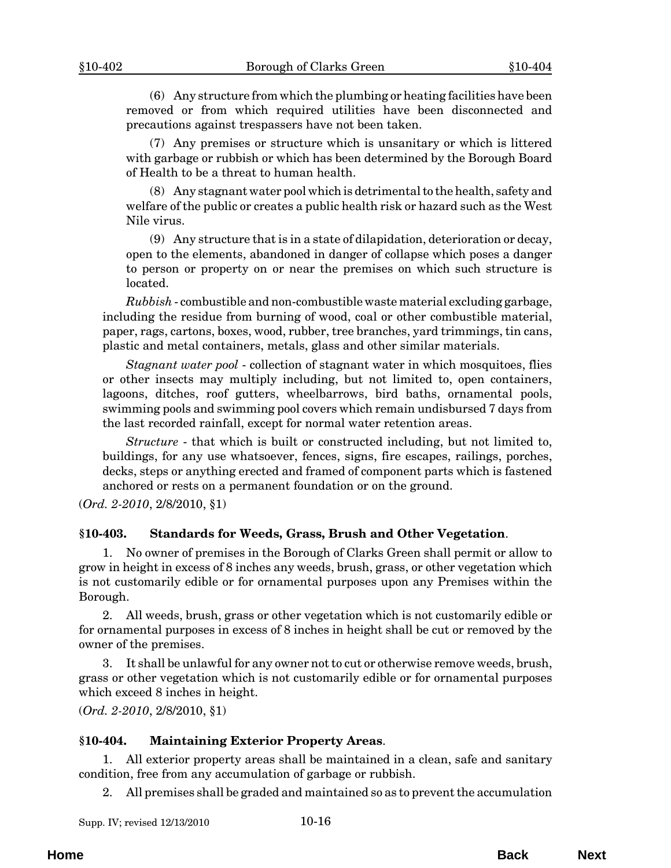<span id="page-15-0"></span>(6) Any structure from which the plumbing or heating facilities have been removed or from which required utilities have been disconnected and precautions against trespassers have not been taken.

(7) Any premises or structure which is unsanitary or which is littered with garbage or rubbish or which has been determined by the Borough Board of Health to be a threat to human health.

(8) Any stagnant water pool which is detrimental to the health, safety and welfare of the public or creates a public health risk or hazard such as the West Nile virus.

(9) Any structure that is in a state of dilapidation, deterioration or decay, open to the elements, abandoned in danger of collapse which poses a danger to person or property on or near the premises on which such structure is located.

*Rubbish* - combustible and non-combustible waste material excluding garbage, including the residue from burning of wood, coal or other combustible material, paper, rags, cartons, boxes, wood, rubber, tree branches, yard trimmings, tin cans, plastic and metal containers, metals, glass and other similar materials.

*Stagnant water pool* - collection of stagnant water in which mosquitoes, flies or other insects may multiply including, but not limited to, open containers, lagoons, ditches, roof gutters, wheelbarrows, bird baths, ornamental pools, swimming pools and swimming pool covers which remain undisbursed 7 days from the last recorded rainfall, except for normal water retention areas.

*Structure* - that which is built or constructed including, but not limited to, buildings, for any use whatsoever, fences, signs, fire escapes, railings, porches, decks, steps or anything erected and framed of component parts which is fastened anchored or rests on a permanent foundation or on the ground.

(*Ord. 2-2010*, 2/8/2010, §1)

#### **§10-403. Standards for Weeds, Grass, Brush and Other Vegetation**.

1. No owner of premises in the Borough of Clarks Green shall permit or allow to grow in height in excess of 8 inches any weeds, brush, grass, or other vegetation which is not customarily edible or for ornamental purposes upon any Premises within the Borough.

2. All weeds, brush, grass or other vegetation which is not customarily edible or for ornamental purposes in excess of 8 inches in height shall be cut or removed by the owner of the premises.

3. It shall be unlawful for any owner not to cut or otherwise remove weeds, brush, grass or other vegetation which is not customarily edible or for ornamental purposes which exceed 8 inches in height.

(*Ord. 2-2010*, 2/8/2010, §1)

#### **§10-404. Maintaining Exterior Property Areas**.

1. All exterior property areas shall be maintained in a clean, safe and sanitary condition, free from any accumulation of garbage or rubbish.

2. All premises shall be graded and maintained so as to prevent the accumulation

| Supp. IV; revised 12/13/2010 | $10 - 16$ |
|------------------------------|-----------|
|                              |           |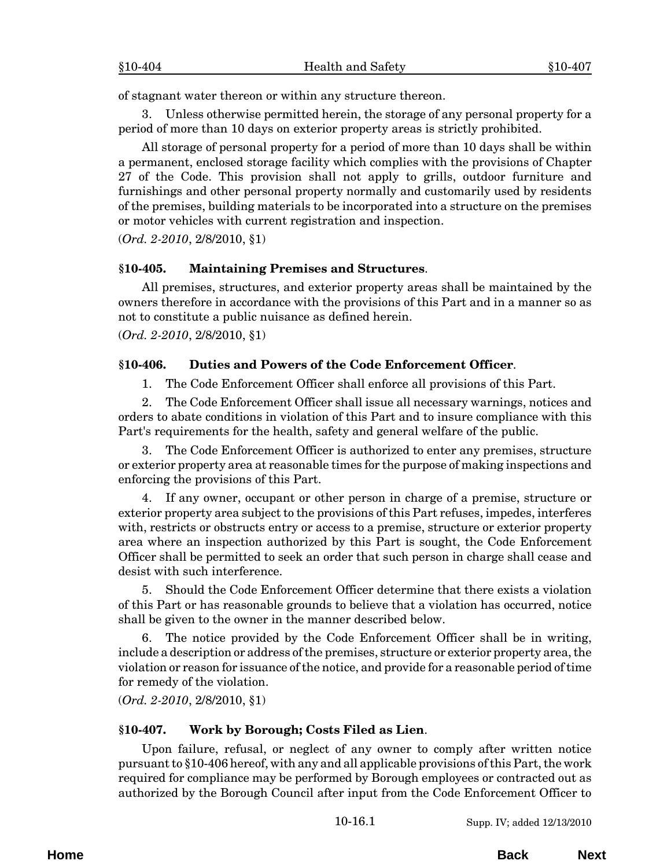<span id="page-16-0"></span>of stagnant water thereon or within any structure thereon.

Unless otherwise permitted herein, the storage of any personal property for a period of more than 10 days on exterior property areas is strictly prohibited.

All storage of personal property for a period of more than 10 days shall be within a permanent, enclosed storage facility which complies with the provisions of Chapter 27 of the Code. This provision shall not apply to grills, outdoor furniture and furnishings and other personal property normally and customarily used by residents of the premises, building materials to be incorporated into a structure on the premises or motor vehicles with current registration and inspection.

(*Ord. 2-2010*, 2/8/2010, §1)

#### **§10-405. Maintaining Premises and Structures**.

All premises, structures, and exterior property areas shall be maintained by the owners therefore in accordance with the provisions of this Part and in a manner so as not to constitute a public nuisance as defined herein.

(*Ord. 2-2010*, 2/8/2010, §1)

#### **§10-406. Duties and Powers of the Code Enforcement Officer**.

1. The Code Enforcement Officer shall enforce all provisions of this Part.

2. The Code Enforcement Officer shall issue all necessary warnings, notices and orders to abate conditions in violation of this Part and to insure compliance with this Part's requirements for the health, safety and general welfare of the public.

3. The Code Enforcement Officer is authorized to enter any premises, structure or exterior property area at reasonable times for the purpose of making inspections and enforcing the provisions of this Part.

4. If any owner, occupant or other person in charge of a premise, structure or exterior property area subject to the provisions of this Part refuses, impedes, interferes with, restricts or obstructs entry or access to a premise, structure or exterior property area where an inspection authorized by this Part is sought, the Code Enforcement Officer shall be permitted to seek an order that such person in charge shall cease and desist with such interference.

5. Should the Code Enforcement Officer determine that there exists a violation of this Part or has reasonable grounds to believe that a violation has occurred, notice shall be given to the owner in the manner described below.

6. The notice provided by the Code Enforcement Officer shall be in writing, include a description or address of the premises, structure or exterior property area, the violation or reason for issuance of the notice, and provide for a reasonable period of time for remedy of the violation.

(*Ord. 2-2010*, 2/8/2010, §1)

#### **§10-407. Work by Borough; Costs Filed as Lien**.

Upon failure, refusal, or neglect of any owner to comply after written notice pursuant to §10-406 hereof, with any and all applicable provisions of this Part, the work required for compliance may be performed by Borough employees or contracted out as authorized by the Borough Council after input from the Code Enforcement Officer to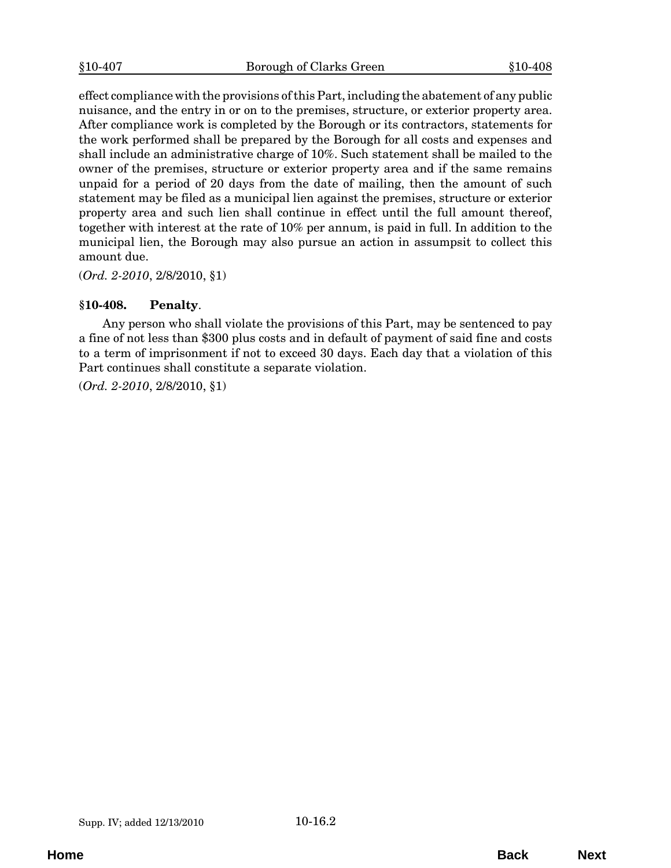<span id="page-17-0"></span>effect compliance with the provisions of this Part, including the abatement of any public nuisance, and the entry in or on to the premises, structure, or exterior property area. After compliance work is completed by the Borough or its contractors, statements for the work performed shall be prepared by the Borough for all costs and expenses and shall include an administrative charge of 10%. Such statement shall be mailed to the owner of the premises, structure or exterior property area and if the same remains unpaid for a period of 20 days from the date of mailing, then the amount of such statement may be filed as a municipal lien against the premises, structure or exterior property area and such lien shall continue in effect until the full amount thereof, together with interest at the rate of 10% per annum, is paid in full. In addition to the municipal lien, the Borough may also pursue an action in assumpsit to collect this amount due.

(*Ord. 2-2010*, 2/8/2010, §1)

## **§10-408. Penalty**.

Any person who shall violate the provisions of this Part, may be sentenced to pay a fine of not less than \$300 plus costs and in default of payment of said fine and costs to a term of imprisonment if not to exceed 30 days. Each day that a violation of this Part continues shall constitute a separate violation.

(*Ord. 2-2010*, 2/8/2010, §1)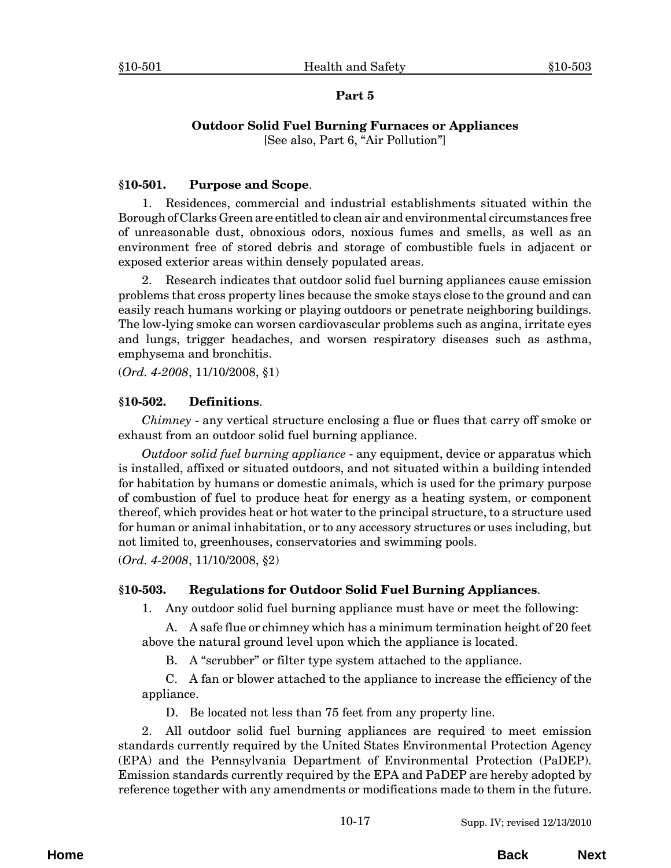# **Outdoor Solid Fuel Burning Furnaces or Appliances**

[See also, Part 6, "Air Pollution"]

# <span id="page-18-0"></span>**§10-501. Purpose and Scope**.

1. Residences, commercial and industrial establishments situated within the Borough of Clarks Green are entitled to clean air and environmental circumstances free of unreasonable dust, obnoxious odors, noxious fumes and smells, as well as an environment free of stored debris and storage of combustible fuels in adjacent or exposed exterior areas within densely populated areas.

2. Research indicates that outdoor solid fuel burning appliances cause emission problems that cross property lines because the smoke stays close to the ground and can easily reach humans working or playing outdoors or penetrate neighboring buildings. The low-lying smoke can worsen cardiovascular problems such as angina, irritate eyes and lungs, trigger headaches, and worsen respiratory diseases such as asthma, emphysema and bronchitis.

(*Ord. 4-2008*, 11/10/2008, §1)

# **§10-502. Definitions**.

*Chimney* - any vertical structure enclosing a flue or flues that carry off smoke or exhaust from an outdoor solid fuel burning appliance.

*Outdoor solid fuel burning appliance* - any equipment, device or apparatus which is installed, affixed or situated outdoors, and not situated within a building intended for habitation by humans or domestic animals, which is used for the primary purpose of combustion of fuel to produce heat for energy as a heating system, or component thereof, which provides heat or hot water to the principal structure, to a structure used for human or animal inhabitation, or to any accessory structures or uses including, but not limited to, greenhouses, conservatories and swimming pools.

(*Ord. 4-2008*, 11/10/2008, §2)

# **§10-503. Regulations for Outdoor Solid Fuel Burning Appliances**.

1. Any outdoor solid fuel burning appliance must have or meet the following:

A. A safe flue or chimney which has a minimum termination height of 20 feet above the natural ground level upon which the appliance is located.

B. A "scrubber" or filter type system attached to the appliance.

C. A fan or blower attached to the appliance to increase the efficiency of the appliance.

D. Be located not less than 75 feet from any property line.

2. All outdoor solid fuel burning appliances are required to meet emission standards currently required by the United States Environmental Protection Agency (EPA) and the Pennsylvania Department of Environmental Protection (PaDEP). Emission standards currently required by the EPA and PaDEP are hereby adopted by reference together with any amendments or modifications made to them in the future.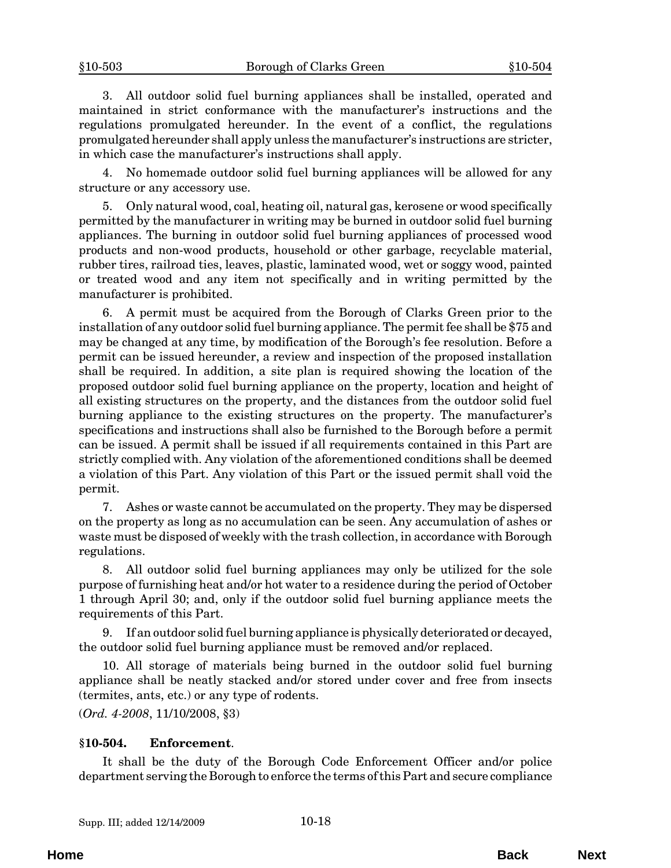<span id="page-19-0"></span>3. All outdoor solid fuel burning appliances shall be installed, operated and maintained in strict conformance with the manufacturer's instructions and the regulations promulgated hereunder. In the event of a conflict, the regulations promulgated hereunder shall apply unless the manufacturer's instructions are stricter, in which case the manufacturer's instructions shall apply.

4. No homemade outdoor solid fuel burning appliances will be allowed for any structure or any accessory use.

5. Only natural wood, coal, heating oil, natural gas, kerosene or wood specifically permitted by the manufacturer in writing may be burned in outdoor solid fuel burning appliances. The burning in outdoor solid fuel burning appliances of processed wood products and non-wood products, household or other garbage, recyclable material, rubber tires, railroad ties, leaves, plastic, laminated wood, wet or soggy wood, painted or treated wood and any item not specifically and in writing permitted by the manufacturer is prohibited.

6. A permit must be acquired from the Borough of Clarks Green prior to the installation of any outdoor solid fuel burning appliance. The permit fee shall be \$75 and may be changed at any time, by modification of the Borough's fee resolution. Before a permit can be issued hereunder, a review and inspection of the proposed installation shall be required. In addition, a site plan is required showing the location of the proposed outdoor solid fuel burning appliance on the property, location and height of all existing structures on the property, and the distances from the outdoor solid fuel burning appliance to the existing structures on the property. The manufacturer's specifications and instructions shall also be furnished to the Borough before a permit can be issued. A permit shall be issued if all requirements contained in this Part are strictly complied with. Any violation of the aforementioned conditions shall be deemed a violation of this Part. Any violation of this Part or the issued permit shall void the permit.

7. Ashes or waste cannot be accumulated on the property. They may be dispersed on the property as long as no accumulation can be seen. Any accumulation of ashes or waste must be disposed of weekly with the trash collection, in accordance with Borough regulations.

8. All outdoor solid fuel burning appliances may only be utilized for the sole purpose of furnishing heat and/or hot water to a residence during the period of October 1 through April 30; and, only if the outdoor solid fuel burning appliance meets the requirements of this Part.

9. If an outdoor solid fuel burning appliance is physically deteriorated or decayed, the outdoor solid fuel burning appliance must be removed and/or replaced.

10. All storage of materials being burned in the outdoor solid fuel burning appliance shall be neatly stacked and/or stored under cover and free from insects (termites, ants, etc.) or any type of rodents.

(*Ord. 4-2008*, 11/10/2008, §3)

#### **§10-504. Enforcement**.

It shall be the duty of the Borough Code Enforcement Officer and/or police department serving the Borough to enforce the terms of this Part and secure compliance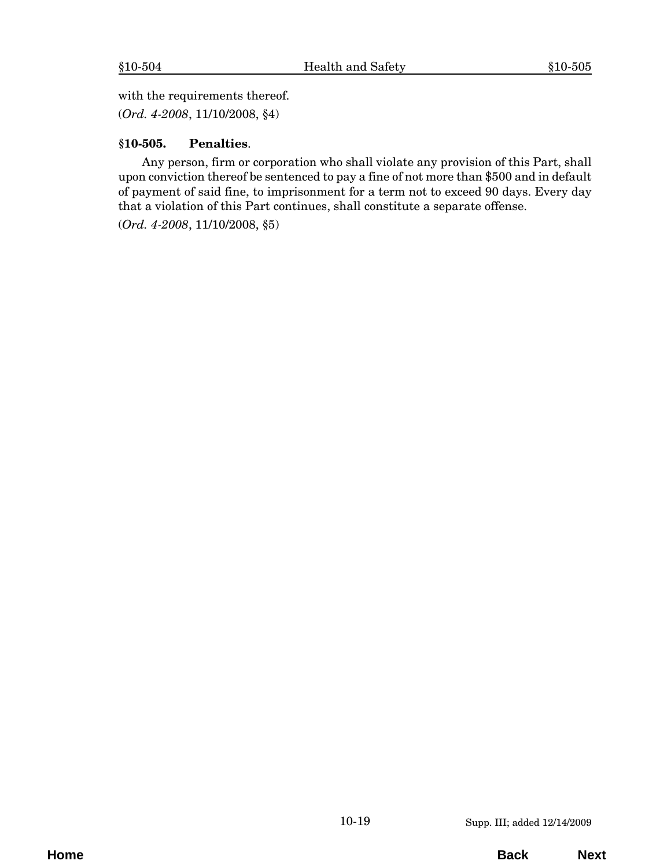<span id="page-20-0"></span>with the requirements thereof.

(*Ord. 4-2008*, 11/10/2008, §4)

## **§10-505. Penalties**.

Any person, firm or corporation who shall violate any provision of this Part, shall upon conviction thereof be sentenced to pay a fine of not more than \$500 and in default of payment of said fine, to imprisonment for a term not to exceed 90 days. Every day that a violation of this Part continues, shall constitute a separate offense.

(*Ord. 4-2008*, 11/10/2008, §5)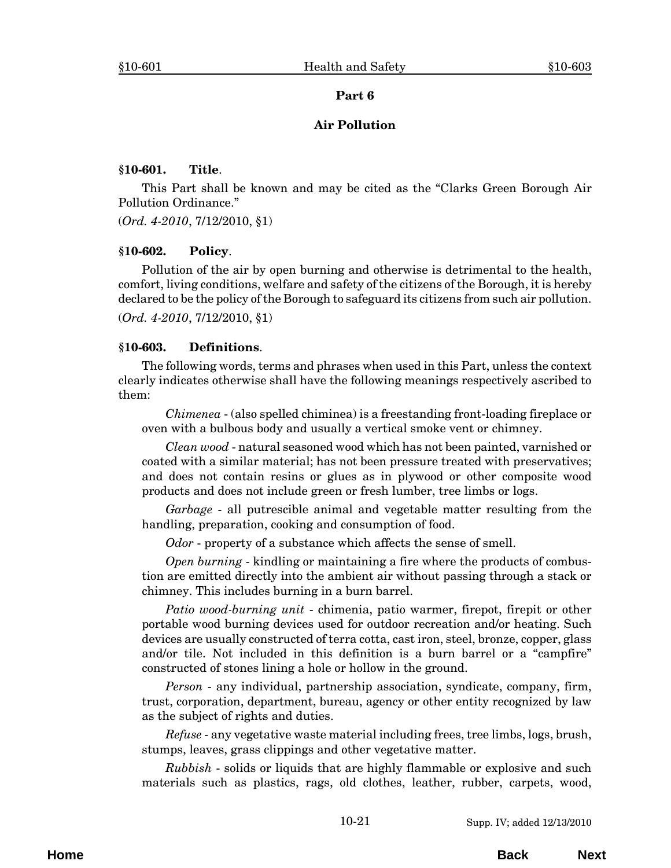#### **Air Pollution**

#### <span id="page-22-0"></span>**§10-601. Title**.

This Part shall be known and may be cited as the "Clarks Green Borough Air Pollution Ordinance."

(*Ord. 4-2010*, 7/12/2010, §1)

#### **§10-602. Policy**.

Pollution of the air by open burning and otherwise is detrimental to the health, comfort, living conditions, welfare and safety of the citizens of the Borough, it is hereby declared to be the policy of the Borough to safeguard its citizens from such air pollution. (*Ord. 4-2010*, 7/12/2010, §1)

#### **§10-603. Definitions**.

The following words, terms and phrases when used in this Part, unless the context clearly indicates otherwise shall have the following meanings respectively ascribed to them:

*Chimenea* - (also spelled chiminea) is a freestanding front-loading fireplace or oven with a bulbous body and usually a vertical smoke vent or chimney.

*Clean wood* - natural seasoned wood which has not been painted, varnished or coated with a similar material; has not been pressure treated with preservatives; and does not contain resins or glues as in plywood or other composite wood products and does not include green or fresh lumber, tree limbs or logs.

*Garbage* - all putrescible animal and vegetable matter resulting from the handling, preparation, cooking and consumption of food.

*Odor* - property of a substance which affects the sense of smell.

*Open burning* - kindling or maintaining a fire where the products of combustion are emitted directly into the ambient air without passing through a stack or chimney. This includes burning in a burn barrel.

*Patio wood-burning unit* - chimenia, patio warmer, firepot, firepit or other portable wood burning devices used for outdoor recreation and/or heating. Such devices are usually constructed of terra cotta, cast iron, steel, bronze, copper, glass and/or tile. Not included in this definition is a burn barrel or a "campfire" constructed of stones lining a hole or hollow in the ground.

*Person* - any individual, partnership association, syndicate, company, firm, trust, corporation, department, bureau, agency or other entity recognized by law as the subject of rights and duties.

*Refuse* - any vegetative waste material including frees, tree limbs, logs, brush, stumps, leaves, grass clippings and other vegetative matter.

*Rubbish* - solids or liquids that are highly flammable or explosive and such materials such as plastics, rags, old clothes, leather, rubber, carpets, wood,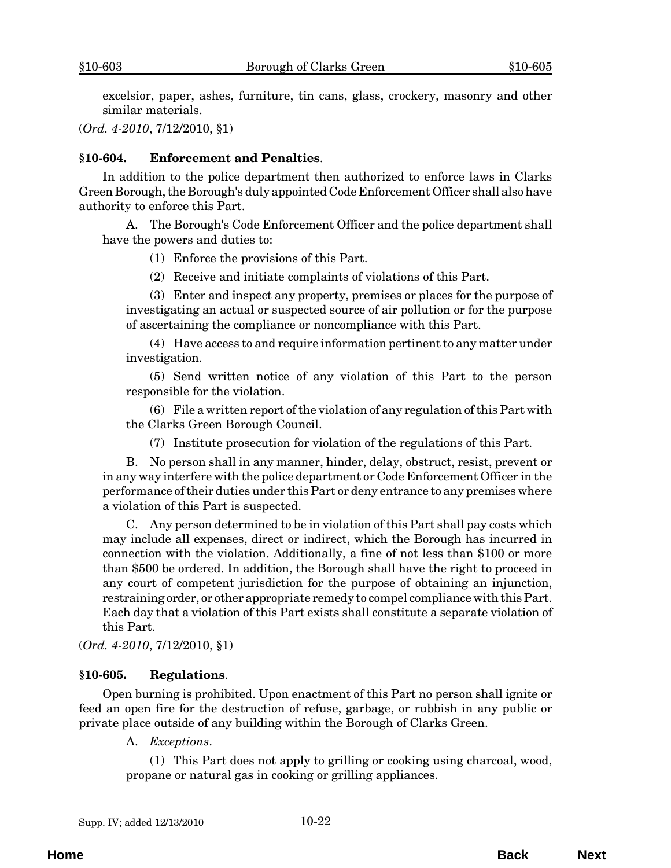<span id="page-23-0"></span>excelsior, paper, ashes, furniture, tin cans, glass, crockery, masonry and other similar materials.

(*Ord. 4-2010*, 7/12/2010, §1)

#### **§10-604. Enforcement and Penalties**.

In addition to the police department then authorized to enforce laws in Clarks Green Borough, the Borough's duly appointed Code Enforcement Officer shall also have authority to enforce this Part.

A. The Borough's Code Enforcement Officer and the police department shall have the powers and duties to:

(1) Enforce the provisions of this Part.

(2) Receive and initiate complaints of violations of this Part.

(3) Enter and inspect any property, premises or places for the purpose of investigating an actual or suspected source of air pollution or for the purpose of ascertaining the compliance or noncompliance with this Part.

(4) Have access to and require information pertinent to any matter under investigation.

(5) Send written notice of any violation of this Part to the person responsible for the violation.

(6) File a written report of the violation of any regulation of this Part with the Clarks Green Borough Council.

(7) Institute prosecution for violation of the regulations of this Part.

B. No person shall in any manner, hinder, delay, obstruct, resist, prevent or in any way interfere with the police department or Code Enforcement Officer in the performance of their duties under this Part or deny entrance to any premises where a violation of this Part is suspected.

C. Any person determined to be in violation of this Part shall pay costs which may include all expenses, direct or indirect, which the Borough has incurred in connection with the violation. Additionally, a fine of not less than \$100 or more than \$500 be ordered. In addition, the Borough shall have the right to proceed in any court of competent jurisdiction for the purpose of obtaining an injunction, restraining order, or other appropriate remedy to compel compliance with this Part. Each day that a violation of this Part exists shall constitute a separate violation of this Part.

(*Ord. 4-2010*, 7/12/2010, §1)

#### **§10-605. Regulations**.

Open burning is prohibited. Upon enactment of this Part no person shall ignite or feed an open fire for the destruction of refuse, garbage, or rubbish in any public or private place outside of any building within the Borough of Clarks Green.

A. *Exceptions*.

(1) This Part does not apply to grilling or cooking using charcoal, wood, propane or natural gas in cooking or grilling appliances.